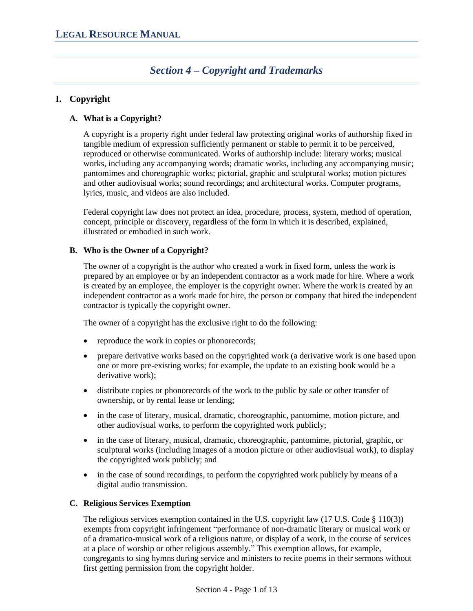# *Section 4 – Copyright and Trademarks*

## **I. Copyright**

## **A. What is a Copyright?**

A copyright is a property right under federal law protecting original works of authorship fixed in tangible medium of expression sufficiently permanent or stable to permit it to be perceived, reproduced or otherwise communicated. Works of authorship include: literary works; musical works, including any accompanying words; dramatic works, including any accompanying music; pantomimes and choreographic works; pictorial, graphic and sculptural works; motion pictures and other audiovisual works; sound recordings; and architectural works. Computer programs, lyrics, music, and videos are also included.

Federal copyright law does not protect an idea, procedure, process, system, method of operation, concept, principle or discovery, regardless of the form in which it is described, explained, illustrated or embodied in such work.

## **B. Who is the Owner of a Copyright?**

The owner of a copyright is the author who created a work in fixed form, unless the work is prepared by an employee or by an independent contractor as a work made for hire. Where a work is created by an employee, the employer is the copyright owner. Where the work is created by an independent contractor as a work made for hire, the person or company that hired the independent contractor is typically the copyright owner.

The owner of a copyright has the exclusive right to do the following:

- reproduce the work in copies or phonorecords;
- prepare derivative works based on the copyrighted work (a derivative work is one based upon one or more pre-existing works; for example, the update to an existing book would be a derivative work);
- distribute copies or phonorecords of the work to the public by sale or other transfer of ownership, or by rental lease or lending;
- in the case of literary, musical, dramatic, choreographic, pantomime, motion picture, and other audiovisual works, to perform the copyrighted work publicly;
- in the case of literary, musical, dramatic, choreographic, pantomime, pictorial, graphic, or sculptural works (including images of a motion picture or other audiovisual work), to display the copyrighted work publicly; and
- in the case of sound recordings, to perform the copyrighted work publicly by means of a digital audio transmission.

## **C. Religious Services Exemption**

The religious services exemption contained in the U.S. copyright law  $(17 \text{ U.S. Code } \S 110(3))$ exempts from copyright infringement "performance of non-dramatic literary or musical work or of a dramatico-musical work of a religious nature, or display of a work, in the course of services at a place of worship or other religious assembly." This exemption allows, for example, congregants to sing hymns during service and ministers to recite poems in their sermons without first getting permission from the copyright holder.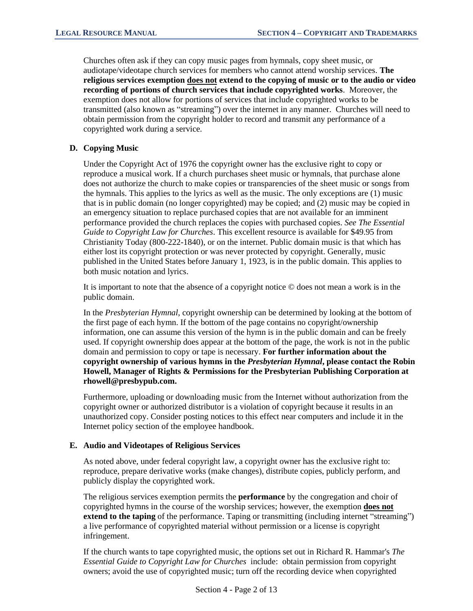Churches often ask if they can copy music pages from hymnals, copy sheet music, or audiotape/videotape church services for members who cannot attend worship services. **The religious services exemption does not extend to the copying of music or to the audio or video recording of portions of church services that include copyrighted works**. Moreover, the exemption does not allow for portions of services that include copyrighted works to be transmitted (also known as "streaming") over the internet in any manner. Churches will need to obtain permission from the copyright holder to record and transmit any performance of a copyrighted work during a service.

## **D. Copying Music**

Under the Copyright Act of 1976 the copyright owner has the exclusive right to copy or reproduce a musical work. If a church purchases sheet music or hymnals, that purchase alone does not authorize the church to make copies or transparencies of the sheet music or songs from the hymnals. This applies to the lyrics as well as the music. The only exceptions are (1) music that is in public domain (no longer copyrighted) may be copied; and (2) music may be copied in an emergency situation to replace purchased copies that are not available for an imminent performance provided the church replaces the copies with purchased copies. *See The Essential Guide to Copyright Law for Churches*. This excellent resource is available for \$49.95 from Christianity Today (800-222-1840), or on the internet. Public domain music is that which has either lost its copyright protection or was never protected by copyright. Generally, music published in the United States before January 1, 1923, is in the public domain. This applies to both music notation and lyrics.

It is important to note that the absence of a copyright notice © does not mean a work is in the public domain.

In the *Presbyterian Hymnal*, copyright ownership can be determined by looking at the bottom of the first page of each hymn. If the bottom of the page contains no copyright/ownership information, one can assume this version of the hymn is in the public domain and can be freely used. If copyright ownership does appear at the bottom of the page, the work is not in the public domain and permission to copy or tape is necessary. **For further information about the copyright ownership of various hymns in the** *Presbyterian Hymnal***, please contact the Robin Howell, Manager of Rights & Permissions for the Presbyterian Publishing Corporation at rhowell@presbypub.com.**

Furthermore, uploading or downloading music from the Internet without authorization from the copyright owner or authorized distributor is a violation of copyright because it results in an unauthorized copy. Consider posting notices to this effect near computers and include it in the Internet policy section of the employee handbook.

#### **E. Audio and Videotapes of Religious Services**

As noted above, under federal copyright law, a copyright owner has the exclusive right to: reproduce, prepare derivative works (make changes), distribute copies, publicly perform, and publicly display the copyrighted work.

The religious services exemption permits the **performance** by the congregation and choir of copyrighted hymns in the course of the worship services; however, the exemption **does not extend to the taping** of the performance. Taping or transmitting (including internet "streaming") a live performance of copyrighted material without permission or a license is copyright infringement.

If the church wants to tape copyrighted music, the options set out in Richard R. Hammar's *The Essential Guide to Copyright Law for Churches* include: obtain permission from copyright owners; avoid the use of copyrighted music; turn off the recording device when copyrighted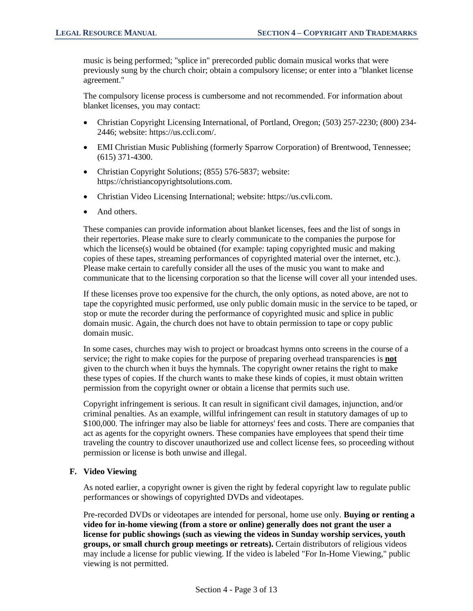music is being performed; "splice in" prerecorded public domain musical works that were previously sung by the church choir; obtain a compulsory license; or enter into a "blanket license agreement."

The compulsory license process is cumbersome and not recommended. For information about blanket licenses, you may contact:

- Christian Copyright Licensing International, of Portland, Oregon; (503) 257-2230; (800) 234-2446; website: https://us.ccli.com/.
- EMI Christian Music Publishing (formerly Sparrow Corporation) of Brentwood, Tennessee; (615) 371-4300.
- Christian Copyright Solutions; (855) 576-5837; website: [https://christiancopyrightsolutions.com.](https://christiancopyrightsolutions.com/)
- [Christian Video Licensing International;](http://www.cvli.com/) website: https://us.cvli.com.
- And others.

These companies can provide information about blanket licenses, fees and the list of songs in their repertories. Please make sure to clearly communicate to the companies the purpose for which the license(s) would be obtained (for example: taping copyrighted music and making copies of these tapes, streaming performances of copyrighted material over the internet, etc.). Please make certain to carefully consider all the uses of the music you want to make and communicate that to the licensing corporation so that the license will cover all your intended uses.

If these licenses prove too expensive for the church, the only options, as noted above, are not to tape the copyrighted music performed, use only public domain music in the service to be taped, or stop or mute the recorder during the performance of copyrighted music and splice in public domain music. Again, the church does not have to obtain permission to tape or copy public domain music.

In some cases, churches may wish to project or broadcast hymns onto screens in the course of a service; the right to make copies for the purpose of preparing overhead transparencies is **not** given to the church when it buys the hymnals. The copyright owner retains the right to make these types of copies. If the church wants to make these kinds of copies, it must obtain written permission from the copyright owner or obtain a license that permits such use.

Copyright infringement is serious. It can result in significant civil damages, injunction, and/or criminal penalties. As an example, willful infringement can result in statutory damages of up to \$100,000. The infringer may also be liable for attorneys' fees and costs. There are companies that act as agents for the copyright owners. These companies have employees that spend their time traveling the country to discover unauthorized use and collect license fees, so proceeding without permission or license is both unwise and illegal.

#### **F. Video Viewing**

As noted earlier, a copyright owner is given the right by federal copyright law to regulate public performances or showings of copyrighted DVDs and videotapes.

Pre-recorded DVDs or videotapes are intended for personal, home use only. **Buying or renting a video for in-home viewing (from a store or online) generally does not grant the user a license for public showings (such as viewing the videos in Sunday worship services, youth groups, or small church group meetings or retreats).** Certain distributors of religious videos may include a license for public viewing. If the video is labeled "For In-Home Viewing," public viewing is not permitted.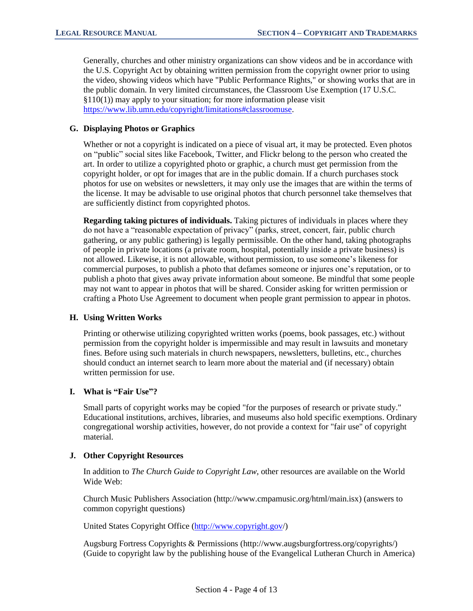Generally, churches and other ministry organizations can show videos and be in accordance with the U.S. Copyright Act by obtaining written permission from the copyright owner prior to using the video, showing videos which have "Public Performance Rights," or showing works that are in the public domain. In very limited circumstances, the Classroom Use Exemption (17 U.S.C. §110(1)) may apply to your situation; for more information please visit [https://www.lib.umn.edu/copyright/limitations#classroomuse.](https://www.lib.umn.edu/copyright/limitations#classroomuse)

#### **G. Displaying Photos or Graphics**

Whether or not a copyright is indicated on a piece of visual art, it may be protected. Even photos on "public" social sites like Facebook, Twitter, and Flickr belong to the person who created the art. In order to utilize a copyrighted photo or graphic, a church must get permission from the copyright holder, or opt for images that are in the public domain. If a church purchases stock photos for use on websites or newsletters, it may only use the images that are within the terms of the license. It may be advisable to use original photos that church personnel take themselves that are sufficiently distinct from copyrighted photos.

**Regarding taking pictures of individuals.** Taking pictures of individuals in places where they do not have a "reasonable expectation of privacy" (parks, street, concert, fair, public church gathering, or any public gathering) is legally permissible. On the other hand, taking photographs of people in private locations (a private room, hospital, potentially inside a private business) is not allowed. Likewise, it is not allowable, without permission, to use someone's likeness for commercial purposes, to publish a photo that defames someone or injures one's reputation, or to publish a photo that gives away private information about someone. Be mindful that some people may not want to appear in photos that will be shared. Consider asking for written permission or crafting a [Photo Use Agreement](https://www.brotherhoodmutual.com/resources/safety-library/risk-management-forms/photo-use-agreement1/) to document when people grant permission to appear in photos.

#### **H. Using Written Works**

Printing or otherwise utilizing copyrighted written works (poems, book passages, etc.) without permission from the copyright holder is impermissible and may result in lawsuits and monetary fines. Before using such materials in church newspapers, newsletters, bulletins, etc., churches should conduct an internet search to learn more about the material and (if necessary) obtain written permission for use.

#### **I. What is "Fair Use"?**

Small parts of copyright works may be copied "for the purposes of research or private study." Educational institutions, archives, libraries, and museums also hold specific exemptions. Ordinary congregational worship activities, however, do not provide a context for "fair use" of copyright material.

## **J. Other Copyright Resources**

In addition to *The Church Guide to Copyright Law*, other resources are available on the World Wide Web:

Church Music Publishers Association (http://www.cmpamusic.org/html/main.isx) (answers to common copyright questions)

United States Copyright Office [\(http://www.copyright.gov/](http://www.copyright.gov/))

Augsburg Fortress Copyrights & Permissions (http://www.augsburgfortress.org/copyrights/) (Guide to copyright law by the publishing house of the Evangelical Lutheran Church in America)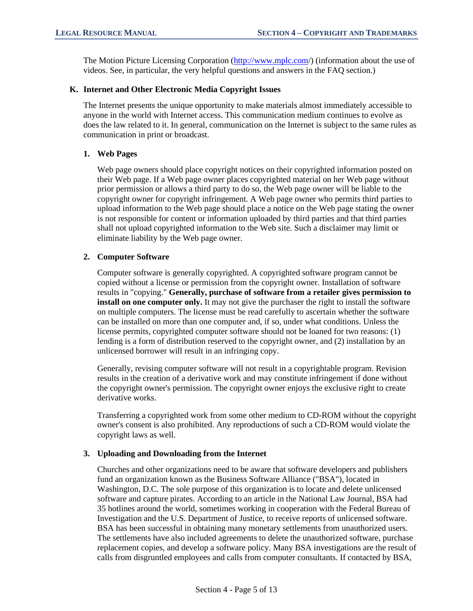The Motion Picture Licensing Corporation [\(http://www.mplc.com/](http://www.mplc.com/)) (information about the use of videos. See, in particular, the very helpful questions and answers in the FAQ section.)

#### **K. Internet and Other Electronic Media Copyright Issues**

The Internet presents the unique opportunity to make materials almost immediately accessible to anyone in the world with Internet access. This communication medium continues to evolve as does the law related to it. In general, communication on the Internet is subject to the same rules as communication in print or broadcast.

#### **1. Web Pages**

Web page owners should place copyright notices on their copyrighted information posted on their Web page. If a Web page owner places copyrighted material on her Web page without prior permission or allows a third party to do so, the Web page owner will be liable to the copyright owner for copyright infringement. A Web page owner who permits third parties to upload information to the Web page should place a notice on the Web page stating the owner is not responsible for content or information uploaded by third parties and that third parties shall not upload copyrighted information to the Web site. Such a disclaimer may limit or eliminate liability by the Web page owner.

## **2. Computer Software**

Computer software is generally copyrighted. A copyrighted software program cannot be copied without a license or permission from the copyright owner. Installation of software results in "copying." **Generally, purchase of software from a retailer gives permission to install on one computer only.** It may not give the purchaser the right to install the software on multiple computers. The license must be read carefully to ascertain whether the software can be installed on more than one computer and, if so, under what conditions. Unless the license permits, copyrighted computer software should not be loaned for two reasons: (1) lending is a form of distribution reserved to the copyright owner, and (2) installation by an unlicensed borrower will result in an infringing copy.

Generally, revising computer software will not result in a copyrightable program. Revision results in the creation of a derivative work and may constitute infringement if done without the copyright owner's permission. The copyright owner enjoys the exclusive right to create derivative works.

Transferring a copyrighted work from some other medium to CD-ROM without the copyright owner's consent is also prohibited. Any reproductions of such a CD-ROM would violate the copyright laws as well.

## **3. Uploading and Downloading from the Internet**

Churches and other organizations need to be aware that software developers and publishers fund an organization known as the Business Software Alliance ("BSA"), located in Washington, D.C. The sole purpose of this organization is to locate and delete unlicensed software and capture pirates. According to an article in the National Law Journal, BSA had 35 hotlines around the world, sometimes working in cooperation with the Federal Bureau of Investigation and the U.S. Department of Justice, to receive reports of unlicensed software. BSA has been successful in obtaining many monetary settlements from unauthorized users. The settlements have also included agreements to delete the unauthorized software, purchase replacement copies, and develop a software policy. Many BSA investigations are the result of calls from disgruntled employees and calls from computer consultants. If contacted by BSA,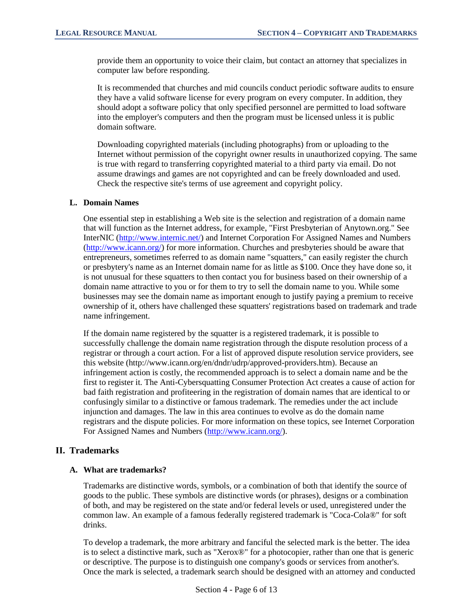provide them an opportunity to voice their claim, but contact an attorney that specializes in computer law before responding.

It is recommended that churches and mid councils conduct periodic software audits to ensure they have a valid software license for every program on every computer. In addition, they should adopt a software policy that only specified personnel are permitted to load software into the employer's computers and then the program must be licensed unless it is public domain software.

Downloading copyrighted materials (including photographs) from or uploading to the Internet without permission of the copyright owner results in unauthorized copying. The same is true with regard to transferring copyrighted material to a third party via email. Do not assume drawings and games are not copyrighted and can be freely downloaded and used. Check the respective site's terms of use agreement and copyright policy.

#### **L. Domain Names**

One essential step in establishing a Web site is the selection and registration of a domain name that will function as the Internet address, for example, "First Presbyterian of Anytown.org." See InterNIC [\(http://www.internic.net/\)](http://www.internic.net/) and Internet Corporation For Assigned Names and Numbers [\(http://www.icann.org/\)](http://www.icann.org/) for more information. Churches and presbyteries should be aware that entrepreneurs, sometimes referred to as domain name "squatters," can easily register the church or presbytery's name as an Internet domain name for as little as \$100. Once they have done so, it is not unusual for these squatters to then contact you for business based on their ownership of a domain name attractive to you or for them to try to sell the domain name to you. While some businesses may see the domain name as important enough to justify paying a premium to receive ownership of it, others have challenged these squatters' registrations based on trademark and trade name infringement.

If the domain name registered by the squatter is a registered trademark, it is possible to successfully challenge the domain name registration through the dispute resolution process of a registrar or through a court action. For a list of approved dispute resolution service providers, see this website (http://www.icann.org/en/dndr/udrp/approved-providers.htm). Because an infringement action is costly, the recommended approach is to select a domain name and be the first to register it. The Anti-Cybersquatting Consumer Protection Act creates a cause of action for bad faith registration and profiteering in the registration of domain names that are identical to or confusingly similar to a distinctive or famous trademark. The remedies under the act include injunction and damages. The law in this area continues to evolve as do the domain name registrars and the dispute policies. For more information on these topics, see Internet Corporation For Assigned Names and Numbers [\(http://www.icann.org/\)](http://www.icann.org/).

## **II. Trademarks**

## **A. What are trademarks?**

Trademarks are distinctive words, symbols, or a combination of both that identify the source of goods to the public. These symbols are distinctive words (or phrases), designs or a combination of both, and may be registered on the state and/or federal levels or used, unregistered under the common law. An example of a famous federally registered trademark is "Coca-Cola®" for soft drinks.

To develop a trademark, the more arbitrary and fanciful the selected mark is the better. The idea is to select a distinctive mark, such as "Xerox®" for a photocopier, rather than one that is generic or descriptive. The purpose is to distinguish one company's goods or services from another's. Once the mark is selected, a trademark search should be designed with an attorney and conducted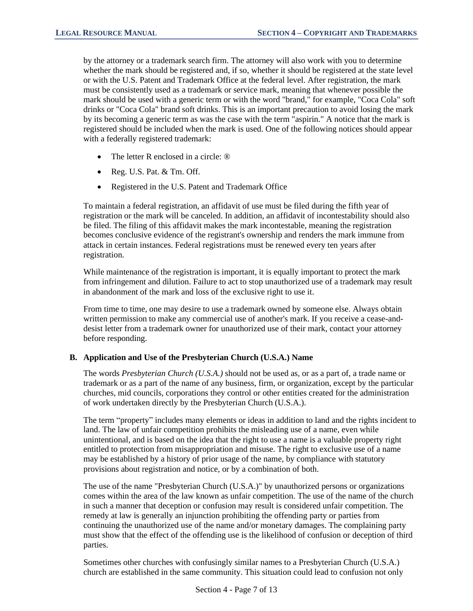by the attorney or a trademark search firm. The attorney will also work with you to determine whether the mark should be registered and, if so, whether it should be registered at the state level or with the U.S. Patent and Trademark Office at the federal level. After registration, the mark must be consistently used as a trademark or service mark, meaning that whenever possible the mark should be used with a generic term or with the word "brand," for example, "Coca Cola" soft drinks or "Coca Cola" brand soft drinks. This is an important precaution to avoid losing the mark by its becoming a generic term as was the case with the term "aspirin." A notice that the mark is registered should be included when the mark is used. One of the following notices should appear with a federally registered trademark:

- The letter R enclosed in a circle:  $\circledR$
- Reg. U.S. Pat. & Tm. Off.
- Registered in the U.S. Patent and Trademark Office

To maintain a federal registration, an affidavit of use must be filed during the fifth year of registration or the mark will be canceled. In addition, an affidavit of incontestability should also be filed. The filing of this affidavit makes the mark incontestable, meaning the registration becomes conclusive evidence of the registrant's ownership and renders the mark immune from attack in certain instances. Federal registrations must be renewed every ten years after registration.

While maintenance of the registration is important, it is equally important to protect the mark from infringement and dilution. Failure to act to stop unauthorized use of a trademark may result in abandonment of the mark and loss of the exclusive right to use it.

From time to time, one may desire to use a trademark owned by someone else. Always obtain written permission to make any commercial use of another's mark. If you receive a cease-anddesist letter from a trademark owner for unauthorized use of their mark, contact your attorney before responding.

#### **B. Application and Use of the Presbyterian Church (U.S.A.) Name**

The words *Presbyterian Church (U.S.A.)* should not be used as, or as a part of, a trade name or trademark or as a part of the name of any business, firm, or organization, except by the particular churches, mid councils, corporations they control or other entities created for the administration of work undertaken directly by the Presbyterian Church (U.S.A.).

The term "property" includes many elements or ideas in addition to land and the rights incident to land. The law of unfair competition prohibits the misleading use of a name, even while unintentional, and is based on the idea that the right to use a name is a valuable property right entitled to protection from misappropriation and misuse. The right to exclusive use of a name may be established by a history of prior usage of the name, by compliance with statutory provisions about registration and notice, or by a combination of both.

The use of the name "Presbyterian Church (U.S.A.)" by unauthorized persons or organizations comes within the area of the law known as unfair competition. The use of the name of the church in such a manner that deception or confusion may result is considered unfair competition. The remedy at law is generally an injunction prohibiting the offending party or parties from continuing the unauthorized use of the name and/or monetary damages. The complaining party must show that the effect of the offending use is the likelihood of confusion or deception of third parties.

Sometimes other churches with confusingly similar names to a Presbyterian Church (U.S.A.) church are established in the same community. This situation could lead to confusion not only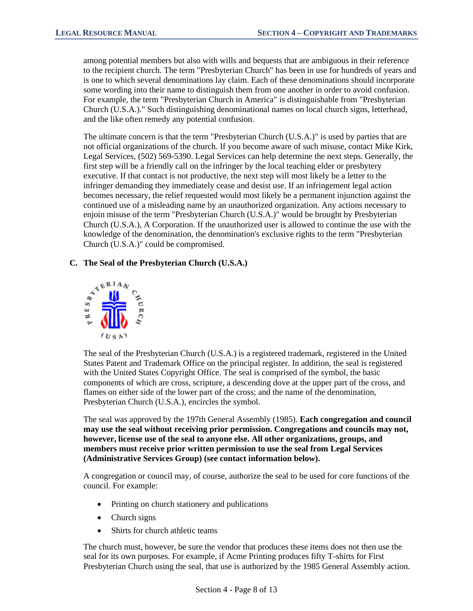among potential members but also with wills and bequests that are ambiguous in their reference to the recipient church. The term "Presbyterian Church" has been in use for hundreds of years and is one to which several denominations lay claim. Each of these denominations should incorporate some wording into their name to distinguish them from one another in order to avoid confusion. For example, the term "Presbyterian Church in America" is distinguishable from "Presbyterian Church (U.S.A.)." Such distinguishing denominational names on local church signs, letterhead, and the like often remedy any potential confusion.

The ultimate concern is that the term "Presbyterian Church (U.S.A.)" is used by parties that are not official organizations of the church. If you become aware of such misuse, contact Mike Kirk, Legal Services, (502) 569-5390. Legal Services can help determine the next steps. Generally, the first step will be a friendly call on the infringer by the local teaching elder or presbytery executive. If that contact is not productive, the next step will most likely be a letter to the infringer demanding they immediately cease and desist use. If an infringement legal action becomes necessary, the relief requested would most likely be a permanent injunction against the continued use of a misleading name by an unauthorized organization. Any actions necessary to enjoin misuse of the term "Presbyterian Church (U.S.A.)" would be brought by Presbyterian Church (U.S.A.), A Corporation. If the unauthorized user is allowed to continue the use with the knowledge of the denomination, the denomination's exclusive rights to the term "Presbyterian Church (U.S.A.)" could be compromised.

#### **C. The Seal of the Presbyterian Church (U.S.A.)**



The seal of the Presbyterian Church (U.S.A.) is a registered trademark, registered in the United States Patent and Trademark Office on the principal register. In addition, the seal is registered with the United States Copyright Office. The seal is comprised of the symbol, the basic components of which are cross, scripture, a descending dove at the upper part of the cross, and flames on either side of the lower part of the cross; and the name of the denomination, Presbyterian Church (U.S.A.), encircles the symbol.

The seal was approved by the 197th General Assembly (1985). **Each congregation and council may use the seal without receiving prior permission. Congregations and councils may not, however, license use of the seal to anyone else. All other organizations, groups, and members must receive prior written permission to use the seal from Legal Services (Administrative Services Group) (see contact information below).**

A congregation or council may, of course, authorize the seal to be used for core functions of the council. For example:

- Printing on church stationery and publications
- Church signs
- Shirts for church athletic teams

The church must, however, be sure the vendor that produces these items does not then use the seal for its own purposes. For example, if Acme Printing produces fifty T-shirts for First Presbyterian Church using the seal, that use is authorized by the 1985 General Assembly action.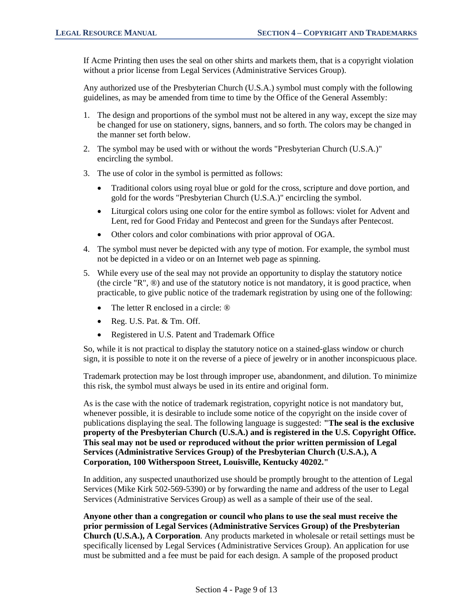If Acme Printing then uses the seal on other shirts and markets them, that is a copyright violation without a prior license from Legal Services (Administrative Services Group).

Any authorized use of the Presbyterian Church (U.S.A.) symbol must comply with the following guidelines, as may be amended from time to time by the Office of the General Assembly:

- 1. The design and proportions of the symbol must not be altered in any way, except the size may be changed for use on stationery, signs, banners, and so forth. The colors may be changed in the manner set forth below.
- 2. The symbol may be used with or without the words "Presbyterian Church (U.S.A.)" encircling the symbol.
- 3. The use of color in the symbol is permitted as follows:
	- Traditional colors using royal blue or gold for the cross, scripture and dove portion, and gold for the words "Presbyterian Church (U.S.A.)" encircling the symbol.
	- Liturgical colors using one color for the entire symbol as follows: violet for Advent and Lent, red for Good Friday and Pentecost and green for the Sundays after Pentecost.
	- Other colors and color combinations with prior approval of OGA.
- 4. The symbol must never be depicted with any type of motion. For example, the symbol must not be depicted in a video or on an Internet web page as spinning.
- 5. While every use of the seal may not provide an opportunity to display the statutory notice (the circle "R",  $\circledast$ ) and use of the statutory notice is not mandatory, it is good practice, when practicable, to give public notice of the trademark registration by using one of the following:
	- The letter R enclosed in a circle:  $\circledR$
	- Reg. U.S. Pat. & Tm. Off.
	- Registered in U.S. Patent and Trademark Office

So, while it is not practical to display the statutory notice on a stained-glass window or church sign, it is possible to note it on the reverse of a piece of jewelry or in another inconspicuous place.

Trademark protection may be lost through improper use, abandonment, and dilution. To minimize this risk, the symbol must always be used in its entire and original form.

As is the case with the notice of trademark registration, copyright notice is not mandatory but, whenever possible, it is desirable to include some notice of the copyright on the inside cover of publications displaying the seal. The following language is suggested: **"The seal is the exclusive property of the Presbyterian Church (U.S.A.) and is registered in the U.S. Copyright Office. This seal may not be used or reproduced without the prior written permission of Legal Services (Administrative Services Group) of the Presbyterian Church (U.S.A.), A Corporation, 100 Witherspoon Street, Louisville, Kentucky 40202."**

In addition, any suspected unauthorized use should be promptly brought to the attention of Legal Services (Mike Kirk 502-569-5390) or by forwarding the name and address of the user to Legal Services (Administrative Services Group) as well as a sample of their use of the seal.

**Anyone other than a congregation or council who plans to use the seal must receive the prior permission of Legal Services (Administrative Services Group) of the Presbyterian Church (U.S.A.), A Corporation**. Any products marketed in wholesale or retail settings must be specifically licensed by Legal Services (Administrative Services Group). An application for use must be submitted and a fee must be paid for each design. A sample of the proposed product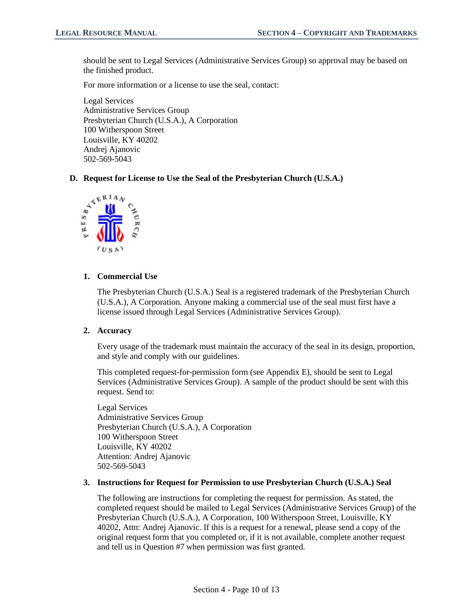should be sent to Legal Services (Administrative Services Group) so approval may be based on the finished product.

For more information or a license to use the seal, contact:

Legal Services Administrative Services Group Presbyterian Church (U.S.A.), A Corporation 100 Witherspoon Street Louisville, KY 40202 Andrej Ajanovic 502-569-5043

#### **D. Request for License to Use the Seal of the Presbyterian Church (U.S.A.)**



#### **1. Commercial Use**

The Presbyterian Church (U.S.A.) Seal is a registered trademark of the Presbyterian Church (U.S.A.), A Corporation. Anyone making a commercial use of the seal must first have a license issued through Legal Services (Administrative Services Group).

## **2. Accuracy**

Every usage of the trademark must maintain the accuracy of the seal in its design, proportion, and style and comply with our guidelines.

This completed request-for-permission form (see Appendix E), should be sent to Legal Services (Administrative Services Group). A sample of the product should be sent with this request. Send to:

Legal Services Administrative Services Group Presbyterian Church (U.S.A.), A Corporation 100 Witherspoon Street Louisville, KY 40202 Attention: Andrej Ajanovic 502-569-5043

#### **3. Instructions for Request for Permission to use Presbyterian Church (U.S.A.) Seal**

The following are instructions for completing the request for permission. As stated, the completed request should be mailed to Legal Services (Administrative Services Group) of the Presbyterian Church (U.S.A.), A Corporation, 100 Witherspoon Street, Louisville, KY 40202, Attn: Andrej Ajanovic. If this is a request for a renewal, please send a copy of the original request form that you completed or, if it is not available, complete another request and tell us in Question #7 when permission was first granted.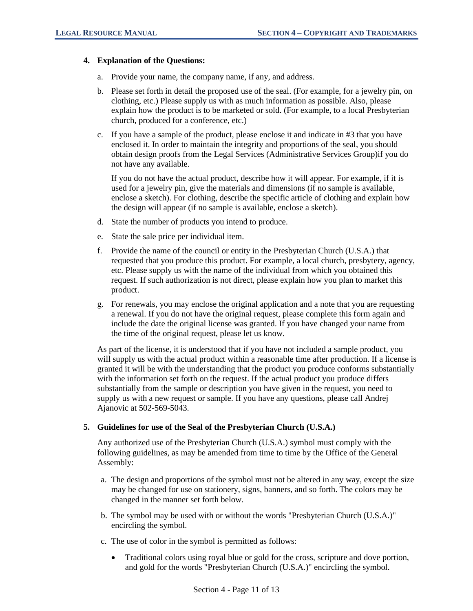## **4. Explanation of the Questions:**

- a. Provide your name, the company name, if any, and address.
- b. Please set forth in detail the proposed use of the seal. (For example, for a jewelry pin, on clothing, etc.) Please supply us with as much information as possible. Also, please explain how the product is to be marketed or sold. (For example, to a local Presbyterian church, produced for a conference, etc.)
- c. If you have a sample of the product, please enclose it and indicate in #3 that you have enclosed it. In order to maintain the integrity and proportions of the seal, you should obtain design proofs from the Legal Services (Administrative Services Group)if you do not have any available.

If you do not have the actual product, describe how it will appear. For example, if it is used for a jewelry pin, give the materials and dimensions (if no sample is available, enclose a sketch). For clothing, describe the specific article of clothing and explain how the design will appear (if no sample is available, enclose a sketch).

- d. State the number of products you intend to produce.
- e. State the sale price per individual item.
- f. Provide the name of the council or entity in the Presbyterian Church (U.S.A.) that requested that you produce this product. For example, a local church, presbytery, agency, etc. Please supply us with the name of the individual from which you obtained this request. If such authorization is not direct, please explain how you plan to market this product.
- g. For renewals, you may enclose the original application and a note that you are requesting a renewal. If you do not have the original request, please complete this form again and include the date the original license was granted. If you have changed your name from the time of the original request, please let us know.

As part of the license, it is understood that if you have not included a sample product, you will supply us with the actual product within a reasonable time after production. If a license is granted it will be with the understanding that the product you produce conforms substantially with the information set forth on the request. If the actual product you produce differs substantially from the sample or description you have given in the request, you need to supply us with a new request or sample. If you have any questions, please call Andrej Ajanovic at 502-569-5043.

## **5. Guidelines for use of the Seal of the Presbyterian Church (U.S.A.)**

Any authorized use of the Presbyterian Church (U.S.A.) symbol must comply with the following guidelines, as may be amended from time to time by the Office of the General Assembly:

- a. The design and proportions of the symbol must not be altered in any way, except the size may be changed for use on stationery, signs, banners, and so forth. The colors may be changed in the manner set forth below.
- b. The symbol may be used with or without the words "Presbyterian Church (U.S.A.)" encircling the symbol.
- c. The use of color in the symbol is permitted as follows:
	- Traditional colors using royal blue or gold for the cross, scripture and dove portion, and gold for the words "Presbyterian Church (U.S.A.)" encircling the symbol.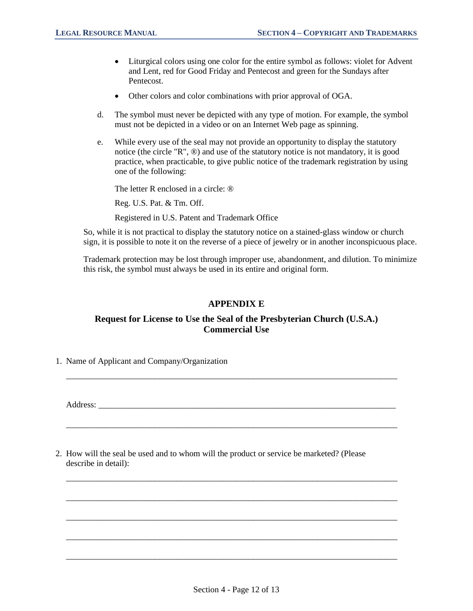- Liturgical colors using one color for the entire symbol as follows: violet for Advent and Lent, red for Good Friday and Pentecost and green for the Sundays after Pentecost.
- Other colors and color combinations with prior approval of OGA.
- d. The symbol must never be depicted with any type of motion. For example, the symbol must not be depicted in a video or on an Internet Web page as spinning.
- e. While every use of the seal may not provide an opportunity to display the statutory notice (the circle "R", ®) and use of the statutory notice is not mandatory, it is good practice, when practicable, to give public notice of the trademark registration by using one of the following:

The letter R enclosed in a circle:  $\circledR$ 

Reg. U.S. Pat. & Tm. Off.

Registered in U.S. Patent and Trademark Office

So, while it is not practical to display the statutory notice on a stained-glass window or church sign, it is possible to note it on the reverse of a piece of jewelry or in another inconspicuous place.

Trademark protection may be lost through improper use, abandonment, and dilution. To minimize this risk, the symbol must always be used in its entire and original form.

## **APPENDIX E**

## **Request for License to Use the Seal of the Presbyterian Church (U.S.A.) Commercial Use**

\_\_\_\_\_\_\_\_\_\_\_\_\_\_\_\_\_\_\_\_\_\_\_\_\_\_\_\_\_\_\_\_\_\_\_\_\_\_\_\_\_\_\_\_\_\_\_\_\_\_\_\_\_\_\_\_\_\_\_\_\_\_\_\_\_\_\_\_\_\_\_\_\_\_\_\_\_\_

\_\_\_\_\_\_\_\_\_\_\_\_\_\_\_\_\_\_\_\_\_\_\_\_\_\_\_\_\_\_\_\_\_\_\_\_\_\_\_\_\_\_\_\_\_\_\_\_\_\_\_\_\_\_\_\_\_\_\_\_\_\_\_\_\_\_\_\_\_\_\_\_\_\_\_\_\_\_

\_\_\_\_\_\_\_\_\_\_\_\_\_\_\_\_\_\_\_\_\_\_\_\_\_\_\_\_\_\_\_\_\_\_\_\_\_\_\_\_\_\_\_\_\_\_\_\_\_\_\_\_\_\_\_\_\_\_\_\_\_\_\_\_\_\_\_\_\_\_\_\_\_\_\_\_\_\_

\_\_\_\_\_\_\_\_\_\_\_\_\_\_\_\_\_\_\_\_\_\_\_\_\_\_\_\_\_\_\_\_\_\_\_\_\_\_\_\_\_\_\_\_\_\_\_\_\_\_\_\_\_\_\_\_\_\_\_\_\_\_\_\_\_\_\_\_\_\_\_\_\_\_\_\_\_\_

\_\_\_\_\_\_\_\_\_\_\_\_\_\_\_\_\_\_\_\_\_\_\_\_\_\_\_\_\_\_\_\_\_\_\_\_\_\_\_\_\_\_\_\_\_\_\_\_\_\_\_\_\_\_\_\_\_\_\_\_\_\_\_\_\_\_\_\_\_\_\_\_\_\_\_\_\_\_

\_\_\_\_\_\_\_\_\_\_\_\_\_\_\_\_\_\_\_\_\_\_\_\_\_\_\_\_\_\_\_\_\_\_\_\_\_\_\_\_\_\_\_\_\_\_\_\_\_\_\_\_\_\_\_\_\_\_\_\_\_\_\_\_\_\_\_\_\_\_\_\_\_\_\_\_\_\_

\_\_\_\_\_\_\_\_\_\_\_\_\_\_\_\_\_\_\_\_\_\_\_\_\_\_\_\_\_\_\_\_\_\_\_\_\_\_\_\_\_\_\_\_\_\_\_\_\_\_\_\_\_\_\_\_\_\_\_\_\_\_\_\_\_\_\_\_\_\_\_\_\_\_\_\_\_\_

1. Name of Applicant and Company/Organization

Address:

2. How will the seal be used and to whom will the product or service be marketed? (Please describe in detail):